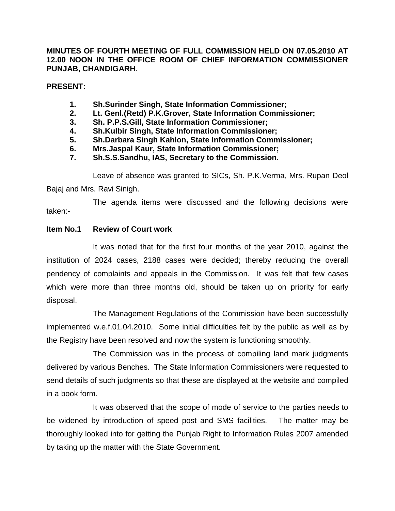**MINUTES OF FOURTH MEETING OF FULL COMMISSION HELD ON 07.05.2010 AT 12.00 NOON IN THE OFFICE ROOM OF CHIEF INFORMATION COMMISSIONER PUNJAB, CHANDIGARH**.

**PRESENT:**

- **1. Sh.Surinder Singh, State Information Commissioner;**
- **2. Lt. Genl.(Retd) P.K.Grover, State Information Commissioner;**
- **3. Sh. P.P.S.Gill, State Information Commissioner;**
- **4. Sh.Kulbir Singh, State Information Commissioner;**
- **5. Sh.Darbara Singh Kahlon, State Information Commissioner;**
- **6. Mrs.Jaspal Kaur, State Information Commissioner;**
- **7. Sh.S.S.Sandhu, IAS, Secretary to the Commission.**

Leave of absence was granted to SICs, Sh. P.K.Verma, Mrs. Rupan Deol Bajaj and Mrs. Ravi Sinigh.

The agenda items were discussed and the following decisions were taken:-

#### **Item No.1 Review of Court work**

It was noted that for the first four months of the year 2010, against the institution of 2024 cases, 2188 cases were decided; thereby reducing the overall pendency of complaints and appeals in the Commission. It was felt that few cases which were more than three months old, should be taken up on priority for early disposal.

The Management Regulations of the Commission have been successfully implemented w.e.f.01.04.2010. Some initial difficulties felt by the public as well as by the Registry have been resolved and now the system is functioning smoothly.

The Commission was in the process of compiling land mark judgments delivered by various Benches. The State Information Commissioners were requested to send details of such judgments so that these are displayed at the website and compiled in a book form.

It was observed that the scope of mode of service to the parties needs to be widened by introduction of speed post and SMS facilities. The matter may be thoroughly looked into for getting the Punjab Right to Information Rules 2007 amended by taking up the matter with the State Government.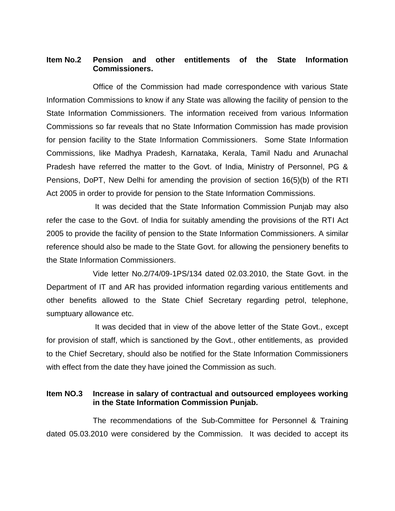#### **Item No.2 Pension and other entitlements of the State Information Commissioners.**

Office of the Commission had made correspondence with various State Information Commissions to know if any State was allowing the facility of pension to the State Information Commissioners. The information received from various Information Commissions so far reveals that no State Information Commission has made provision for pension facility to the State Information Commissioners. Some State Information Commissions, like Madhya Pradesh, Karnataka, Kerala, Tamil Nadu and Arunachal Pradesh have referred the matter to the Govt. of India, Ministry of Personnel, PG & Pensions, DoPT, New Delhi for amending the provision of section 16(5)(b) of the RTI Act 2005 in order to provide for pension to the State Information Commissions.

It was decided that the State Information Commission Punjab may also refer the case to the Govt. of India for suitably amending the provisions of the RTI Act 2005 to provide the facility of pension to the State Information Commissioners. A similar reference should also be made to the State Govt. for allowing the pensionery benefits to the State Information Commissioners.

Vide letter No.2/74/09-1PS/134 dated 02.03.2010, the State Govt. in the Department of IT and AR has provided information regarding various entitlements and other benefits allowed to the State Chief Secretary regarding petrol, telephone, sumptuary allowance etc.

It was decided that in view of the above letter of the State Govt., except for provision of staff, which is sanctioned by the Govt., other entitlements, as provided to the Chief Secretary, should also be notified for the State Information Commissioners with effect from the date they have joined the Commission as such.

#### **Item NO.3 Increase in salary of contractual and outsourced employees working in the State Information Commission Punjab.**

The recommendations of the Sub-Committee for Personnel & Training dated 05.03.2010 were considered by the Commission. It was decided to accept its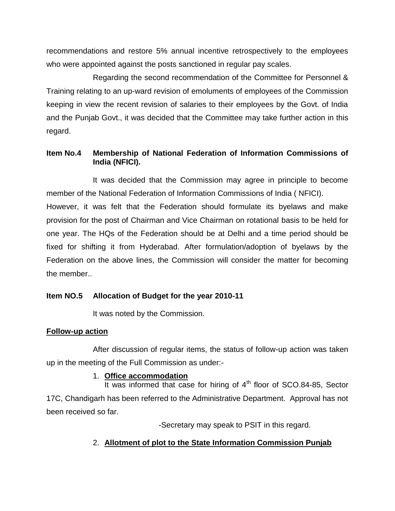recommendations and restore 5% annual incentive retrospectively to the employees who were appointed against the posts sanctioned in regular pay scales.

Regarding the second recommendation of the Committee for Personnel & Training relating to an up-ward revision of emoluments of employees of the Commission keeping in view the recent revision of salaries to their employees by the Govt. of India and the Punjab Govt., it was decided that the Committee may take further action in this regard.

## **Item No.4 Membership of National Federation of Information Commissions of India (NFICI).**

It was decided that the Commission may agree in principle to become member of the National Federation of Information Commissions of India ( NFICI). However, it was felt that the Federation should formulate its byelaws and make provision for the post of Chairman and Vice Chairman on rotational basis to be held for one year. The HQs of the Federation should be at Delhi and a time period should be fixed for shifting it from Hyderabad. After formulation/adoption of byelaws by the Federation on the above lines, the Commission will consider the matter for becoming the member..

## **Item NO.5 Allocation of Budget for the year 2010-11**

It was noted by the Commission.

#### **Follow-up action**

After discussion of regular items, the status of follow-up action was taken up in the meeting of the Full Commission as under:-

#### 1. **Office accommodation**

It was informed that case for hiring of  $4<sup>th</sup>$  floor of SCO.84-85, Sector 17C, Chandigarh has been referred to the Administrative Department. Approval has not been received so far.

-Secretary may speak to PSIT in this regard.

# 2. **Allotment of plot to the State Information Commission Punjab**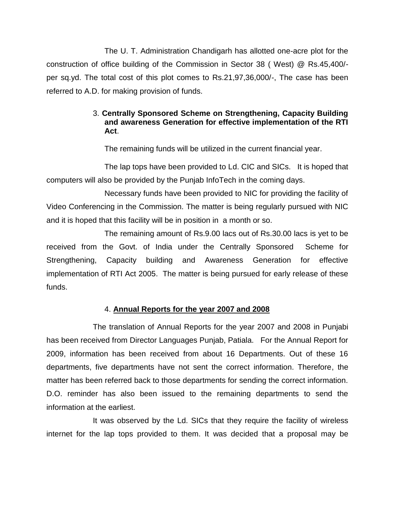The U. T. Administration Chandigarh has allotted one-acre plot for the construction of office building of the Commission in Sector 38 ( West) @ Rs.45,400/ per sq.yd. The total cost of this plot comes to Rs.21,97,36,000/-, The case has been referred to A.D. for making provision of funds.

### 3. **Centrally Sponsored Scheme on Strengthening, Capacity Building and awareness Generation for effective implementation of the RTI Act**.

The remaining funds will be utilized in the current financial year.

The lap tops have been provided to Ld. CIC and SICs. It is hoped that computers will also be provided by the Punjab InfoTech in the coming days.

Necessary funds have been provided to NIC for providing the facility of Video Conferencing in the Commission. The matter is being regularly pursued with NIC and it is hoped that this facility will be in position in a month or so.

The remaining amount of Rs.9.00 lacs out of Rs.30.00 lacs is yet to be received from the Govt. of India under the Centrally Sponsored Scheme for Strengthening, Capacity building and Awareness Generation for effective implementation of RTI Act 2005. The matter is being pursued for early release of these funds.

## 4. **Annual Reports for the year 2007 and 2008**

The translation of Annual Reports for the year 2007 and 2008 in Punjabi has been received from Director Languages Punjab, Patiala. For the Annual Report for 2009, information has been received from about 16 Departments. Out of these 16 departments, five departments have not sent the correct information. Therefore, the matter has been referred back to those departments for sending the correct information. D.O. reminder has also been issued to the remaining departments to send the information at the earliest.

It was observed by the Ld. SICs that they require the facility of wireless internet for the lap tops provided to them. It was decided that a proposal may be